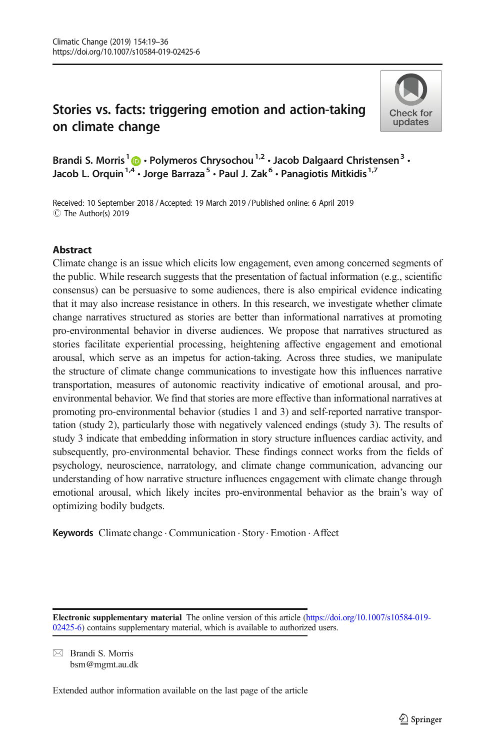# Stories vs. facts: triggering emotion and action-taking on climate change



Brandi S. Morris<sup>1</sup>  $\cdot$  Polymeros Chrysochou<sup>1,2</sup>  $\cdot$  Jacob Dalgaard Christensen<sup>3</sup>  $\cdot$ Jacob L. Orquin<sup>1,4</sup>  $\cdot$  Jorge Barraza<sup>5</sup>  $\cdot$  Paul J. Zak<sup>6</sup>  $\cdot$  Panagiotis Mitkidis<sup>1,7</sup>

Received: 10 September 2018 / Accepted: 19 March 2019 /Published online: 6 April 2019 C The Author(s) 2019

# Abstract

Climate change is an issue which elicits low engagement, even among concerned segments of the public. While research suggests that the presentation of factual information (e.g., scientific consensus) can be persuasive to some audiences, there is also empirical evidence indicating that it may also increase resistance in others. In this research, we investigate whether climate change narratives structured as stories are better than informational narratives at promoting pro-environmental behavior in diverse audiences. We propose that narratives structured as stories facilitate experiential processing, heightening affective engagement and emotional arousal, which serve as an impetus for action-taking. Across three studies, we manipulate the structure of climate change communications to investigate how this influences narrative transportation, measures of autonomic reactivity indicative of emotional arousal, and proenvironmental behavior. We find that stories are more effective than informational narratives at promoting pro-environmental behavior (studies 1 and 3) and self-reported narrative transportation (study 2), particularly those with negatively valenced endings (study 3). The results of study 3 indicate that embedding information in story structure influences cardiac activity, and subsequently, pro-environmental behavior. These findings connect works from the fields of psychology, neuroscience, narratology, and climate change communication, advancing our understanding of how narrative structure influences engagement with climate change through emotional arousal, which likely incites pro-environmental behavior as the brain's way of optimizing bodily budgets.

Keywords Climate change . Communication . Story. Emotion . Affect

 $\boxtimes$  Brandi S. Morris [bsm@mgmt.au.dk](mailto:bsm@mgmt.au.dk)

Extended author information available on the last page of the article

Electronic supplementary material The online version of this article ([https://doi.org/10.1007/s10584-019-](https://doi.org/10.1007/s10584-019-02425-6) [02425-6\)](https://doi.org/10.1007/s10584-019-02425-6) contains supplementary material, which is available to authorized users.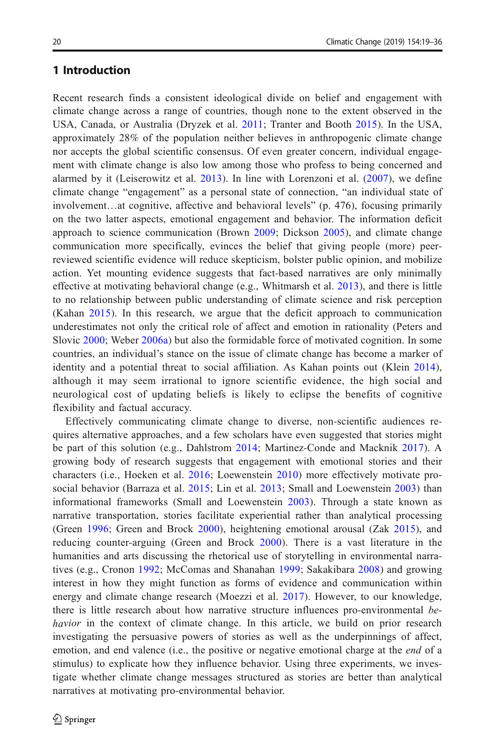# 1 Introduction

Recent research finds a consistent ideological divide on belief and engagement with climate change across a range of countries, though none to the extent observed in the USA, Canada, or Australia (Dryzek et al. [2011;](#page-15-0) Tranter and Booth [2015](#page-17-0)). In the USA, approximately 28% of the population neither believes in anthropogenic climate change nor accepts the global scientific consensus. Of even greater concern, individual engagement with climate change is also low among those who profess to being concerned and alarmed by it (Leiserowitz et al. [2013](#page-16-0)). In line with Lorenzoni et al. ([2007\)](#page-16-0), we define climate change "engagement" as a personal state of connection, "an individual state of involvement…at cognitive, affective and behavioral levels" (p. 476), focusing primarily on the two latter aspects, emotional engagement and behavior. The information deficit approach to science communication (Brown [2009;](#page-14-0) Dickson [2005](#page-15-0)), and climate change communication more specifically, evinces the belief that giving people (more) peerreviewed scientific evidence will reduce skepticism, bolster public opinion, and mobilize action. Yet mounting evidence suggests that fact-based narratives are only minimally effective at motivating behavioral change (e.g., Whitmarsh et al. [2013](#page-17-0)), and there is little to no relationship between public understanding of climate science and risk perception (Kahan [2015\)](#page-15-0). In this research, we argue that the deficit approach to communication underestimates not only the critical role of affect and emotion in rationality (Peters and Slovic [2000](#page-16-0); Weber [2006a](#page-17-0)) but also the formidable force of motivated cognition. In some countries, an individual's stance on the issue of climate change has become a marker of identity and a potential threat to social affiliation. As Kahan points out (Klein [2014](#page-16-0)), although it may seem irrational to ignore scientific evidence, the high social and neurological cost of updating beliefs is likely to eclipse the benefits of cognitive flexibility and factual accuracy.

Effectively communicating climate change to diverse, non-scientific audiences requires alternative approaches, and a few scholars have even suggested that stories might be part of this solution (e.g., Dahlstrom [2014;](#page-15-0) Martinez-Conde and Macknik [2017](#page-16-0)). A growing body of research suggests that engagement with emotional stories and their characters (i.e., Hoeken et al. [2016;](#page-15-0) Loewenstein [2010\)](#page-16-0) more effectively motivate pro-social behavior (Barraza et al. [2015;](#page-14-0) Lin et al. [2013](#page-16-0); Small and Loewenstein [2003\)](#page-17-0) than informational frameworks (Small and Loewenstein [2003](#page-17-0)). Through a state known as narrative transportation, stories facilitate experiential rather than analytical processing (Green [1996;](#page-15-0) Green and Brock [2000](#page-15-0)), heightening emotional arousal (Zak [2015](#page-17-0)), and reducing counter-arguing (Green and Brock [2000](#page-15-0)). There is a vast literature in the humanities and arts discussing the rhetorical use of storytelling in environmental narratives (e.g., Cronon [1992;](#page-15-0) McComas and Shanahan [1999;](#page-16-0) Sakakibara [2008](#page-16-0)) and growing interest in how they might function as forms of evidence and communication within energy and climate change research (Moezzi et al. [2017](#page-16-0)). However, to our knowledge, there is little research about how narrative structure influences pro-environmental behavior in the context of climate change. In this article, we build on prior research investigating the persuasive powers of stories as well as the underpinnings of affect, emotion, and end valence (i.e., the positive or negative emotional charge at the *end* of a stimulus) to explicate how they influence behavior. Using three experiments, we investigate whether climate change messages structured as stories are better than analytical narratives at motivating pro-environmental behavior.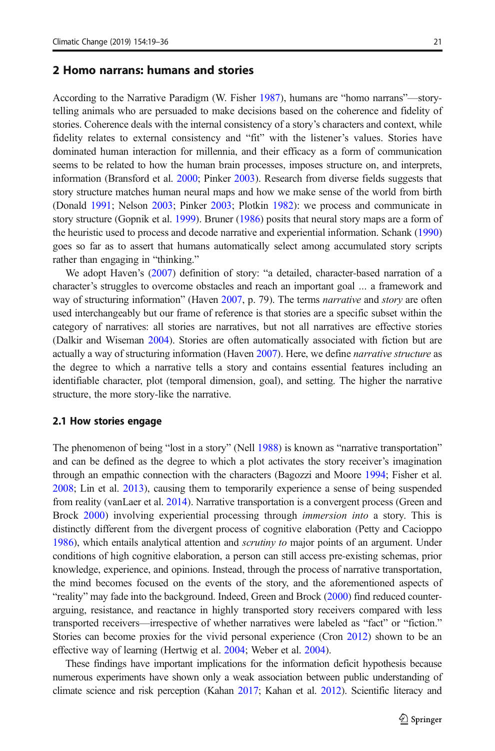#### 2 Homo narrans: humans and stories

According to the Narrative Paradigm (W. Fisher [1987\)](#page-15-0), humans are "homo narrans"—storytelling animals who are persuaded to make decisions based on the coherence and fidelity of stories. Coherence deals with the internal consistency of a story's characters and context, while fidelity relates to external consistency and "fit" with the listener's values. Stories have dominated human interaction for millennia, and their efficacy as a form of communication seems to be related to how the human brain processes, imposes structure on, and interprets, information (Bransford et al. [2000](#page-14-0); Pinker [2003](#page-16-0)). Research from diverse fields suggests that story structure matches human neural maps and how we make sense of the world from birth (Donald [1991](#page-15-0); Nelson [2003;](#page-16-0) Pinker [2003;](#page-16-0) Plotkin [1982\)](#page-16-0): we process and communicate in story structure (Gopnik et al. [1999\)](#page-15-0). Bruner ([1986](#page-15-0)) posits that neural story maps are a form of the heuristic used to process and decode narrative and experiential information. Schank [\(1990\)](#page-16-0) goes so far as to assert that humans automatically select among accumulated story scripts rather than engaging in "thinking."

We adopt Haven's [\(2007](#page-15-0)) definition of story: "a detailed, character-based narration of a character's struggles to overcome obstacles and reach an important goal … a framework and way of structuring information" (Haven [2007](#page-15-0), p. 79). The terms *narrative* and *story* are often used interchangeably but our frame of reference is that stories are a specific subset within the category of narratives: all stories are narratives, but not all narratives are effective stories (Dalkir and Wiseman [2004](#page-15-0)). Stories are often automatically associated with fiction but are actually a way of structuring information (Haven [2007](#page-15-0)). Here, we define *narrative structure* as the degree to which a narrative tells a story and contains essential features including an identifiable character, plot (temporal dimension, goal), and setting. The higher the narrative structure, the more story-like the narrative.

#### 2.1 How stories engage

The phenomenon of being "lost in a story" (Nell [1988](#page-16-0)) is known as "narrative transportation" and can be defined as the degree to which a plot activates the story receiver's imagination through an empathic connection with the characters (Bagozzi and Moore [1994;](#page-14-0) Fisher et al. [2008](#page-15-0); Lin et al. [2013\)](#page-16-0), causing them to temporarily experience a sense of being suspended from reality (vanLaer et al. [2014](#page-16-0)). Narrative transportation is a convergent process (Green and Brock [2000](#page-15-0)) involving experiential processing through immersion into a story. This is distinctly different from the divergent process of cognitive elaboration (Petty and Cacioppo [1986](#page-16-0)), which entails analytical attention and *scrutiny to* major points of an argument. Under conditions of high cognitive elaboration, a person can still access pre-existing schemas, prior knowledge, experience, and opinions. Instead, through the process of narrative transportation, the mind becomes focused on the events of the story, and the aforementioned aspects of "reality" may fade into the background. Indeed, Green and Brock ([2000](#page-15-0)) find reduced counterarguing, resistance, and reactance in highly transported story receivers compared with less transported receivers—irrespective of whether narratives were labeled as "fact" or "fiction." Stories can become proxies for the vivid personal experience (Cron [2012\)](#page-15-0) shown to be an effective way of learning (Hertwig et al. [2004;](#page-15-0) Weber et al. [2004\)](#page-17-0).

These findings have important implications for the information deficit hypothesis because numerous experiments have shown only a weak association between public understanding of climate science and risk perception (Kahan [2017](#page-15-0); Kahan et al. [2012](#page-16-0)). Scientific literacy and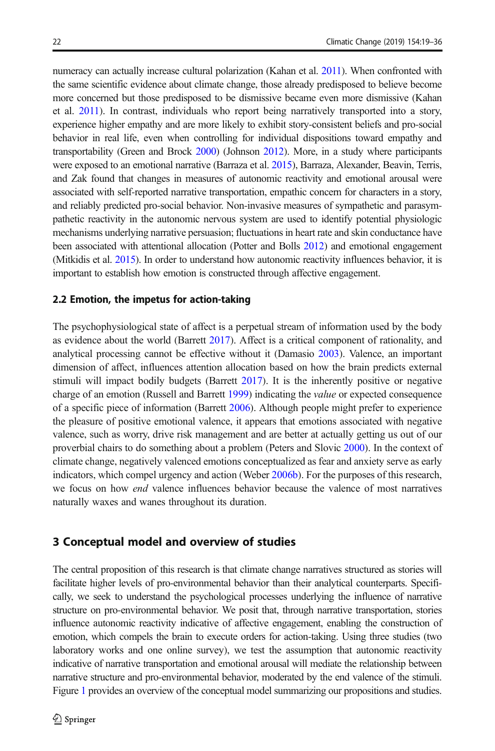numeracy can actually increase cultural polarization (Kahan et al. [2011](#page-15-0)). When confronted with the same scientific evidence about climate change, those already predisposed to believe become more concerned but those predisposed to be dismissive became even more dismissive (Kahan et al. [2011](#page-15-0)). In contrast, individuals who report being narratively transported into a story, experience higher empathy and are more likely to exhibit story-consistent beliefs and pro-social behavior in real life, even when controlling for individual dispositions toward empathy and transportability (Green and Brock [2000\)](#page-15-0) (Johnson [2012](#page-15-0)). More, in a study where participants were exposed to an emotional narrative (Barraza et al. [2015](#page-14-0)), Barraza, Alexander, Beavin, Terris, and Zak found that changes in measures of autonomic reactivity and emotional arousal were associated with self-reported narrative transportation, empathic concern for characters in a story, and reliably predicted pro-social behavior. Non-invasive measures of sympathetic and parasympathetic reactivity in the autonomic nervous system are used to identify potential physiologic mechanisms underlying narrative persuasion; fluctuations in heart rate and skin conductance have been associated with attentional allocation (Potter and Bolls [2012\)](#page-16-0) and emotional engagement (Mitkidis et al. [2015](#page-16-0)). In order to understand how autonomic reactivity influences behavior, it is important to establish how emotion is constructed through affective engagement.

#### 2.2 Emotion, the impetus for action-taking

The psychophysiological state of affect is a perpetual stream of information used by the body as evidence about the world (Barrett [2017](#page-14-0)). Affect is a critical component of rationality, and analytical processing cannot be effective without it (Damasio [2003](#page-15-0)). Valence, an important dimension of affect, influences attention allocation based on how the brain predicts external stimuli will impact bodily budgets (Barrett [2017](#page-14-0)). It is the inherently positive or negative charge of an emotion (Russell and Barrett [1999\)](#page-16-0) indicating the *value* or expected consequence of a specific piece of information (Barrett [2006](#page-14-0)). Although people might prefer to experience the pleasure of positive emotional valence, it appears that emotions associated with negative valence, such as worry, drive risk management and are better at actually getting us out of our proverbial chairs to do something about a problem (Peters and Slovic [2000\)](#page-16-0). In the context of climate change, negatively valenced emotions conceptualized as fear and anxiety serve as early indicators, which compel urgency and action (Weber [2006b\)](#page-17-0). For the purposes of this research, we focus on how end valence influences behavior because the valence of most narratives naturally waxes and wanes throughout its duration.

#### 3 Conceptual model and overview of studies

The central proposition of this research is that climate change narratives structured as stories will facilitate higher levels of pro-environmental behavior than their analytical counterparts. Specifically, we seek to understand the psychological processes underlying the influence of narrative structure on pro-environmental behavior. We posit that, through narrative transportation, stories influence autonomic reactivity indicative of affective engagement, enabling the construction of emotion, which compels the brain to execute orders for action-taking. Using three studies (two laboratory works and one online survey), we test the assumption that autonomic reactivity indicative of narrative transportation and emotional arousal will mediate the relationship between narrative structure and pro-environmental behavior, moderated by the end valence of the stimuli. Figure [1](#page-4-0) provides an overview of the conceptual model summarizing our propositions and studies.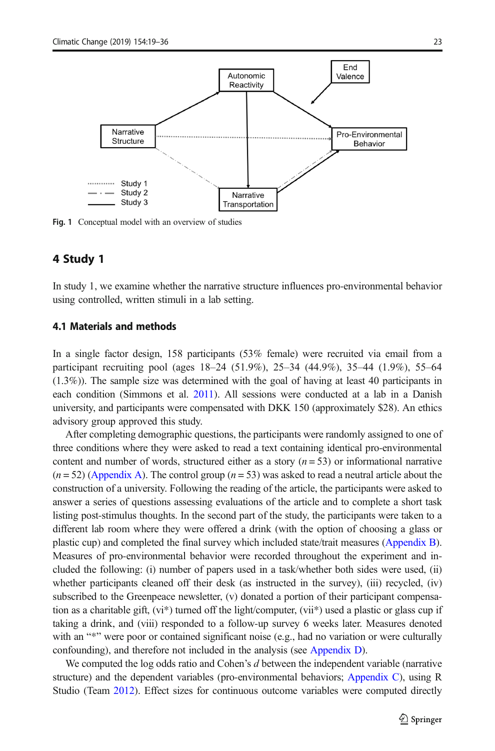<span id="page-4-0"></span>

Fig. 1 Conceptual model with an overview of studies

# 4 Study 1

In study 1, we examine whether the narrative structure influences pro-environmental behavior using controlled, written stimuli in a lab setting.

#### 4.1 Materials and methods

In a single factor design, 158 participants (53% female) were recruited via email from a participant recruiting pool (ages 18–24 (51.9%), 25–34 (44.9%), 35–44 (1.9%), 55–64 (1.3%)). The sample size was determined with the goal of having at least 40 participants in each condition (Simmons et al. [2011](#page-16-0)). All sessions were conducted at a lab in a Danish university, and participants were compensated with DKK 150 (approximately \$28). An ethics advisory group approved this study.

After completing demographic questions, the participants were randomly assigned to one of three conditions where they were asked to read a text containing identical pro-environmental content and number of words, structured either as a story  $(n = 53)$  or informational narrative  $(n = 52)$  (Appendix A). The control group  $(n = 53)$  was asked to read a neutral article about the construction of a university. Following the reading of the article, the participants were asked to answer a series of questions assessing evaluations of the article and to complete a short task listing post-stimulus thoughts. In the second part of the study, the participants were taken to a different lab room where they were offered a drink (with the option of choosing a glass or plastic cup) and completed the final survey which included state/trait measures (Appendix B). Measures of pro-environmental behavior were recorded throughout the experiment and included the following: (i) number of papers used in a task/whether both sides were used, (ii) whether participants cleaned off their desk (as instructed in the survey), (iii) recycled, (iv) subscribed to the Greenpeace newsletter, (v) donated a portion of their participant compensation as a charitable gift, (vi\*) turned off the light/computer, (vii\*) used a plastic or glass cup if taking a drink, and (viii) responded to a follow-up survey 6 weeks later. Measures denoted with an "\*" were poor or contained significant noise (e.g., had no variation or were culturally confounding), and therefore not included in the analysis (see Appendix D).

We computed the log odds ratio and Cohen's d between the independent variable (narrative structure) and the dependent variables (pro-environmental behaviors; Appendix C), using R Studio (Team [2012](#page-17-0)). Effect sizes for continuous outcome variables were computed directly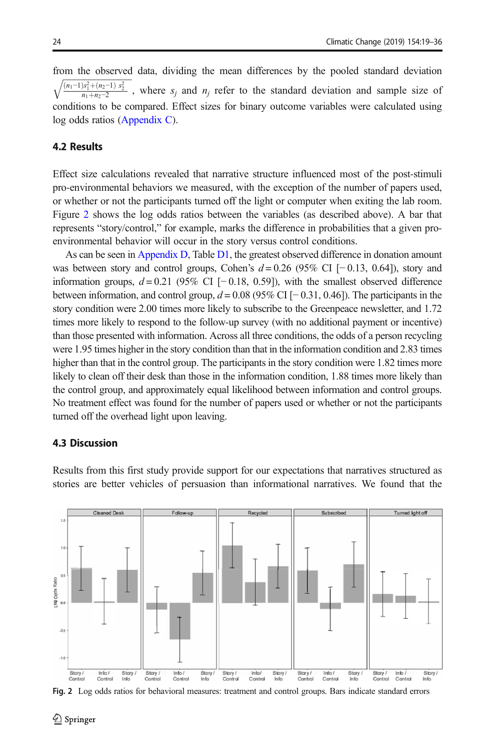<span id="page-5-0"></span>from the observed data, dividing the mean differences by the pooled standard deviation  $\frac{(n_1-1)s_1^2+(n_2-1)s_2^2}{n_1+n_2-2}$ , where  $s_j$  and  $n_j$  refer to the standard deviation and sample size of conditions to be compared. Effect sizes for binary outcome variables were calculated using log odds ratios (Appendix C).

# 4.2 Results

Effect size calculations revealed that narrative structure influenced most of the post-stimuli pro-environmental behaviors we measured, with the exception of the number of papers used, or whether or not the participants turned off the light or computer when exiting the lab room. Figure 2 shows the log odds ratios between the variables (as described above). A bar that represents "story/control," for example, marks the difference in probabilities that a given proenvironmental behavior will occur in the story versus control conditions.

As can be seen in Appendix D, Table D1, the greatest observed difference in donation amount was between story and control groups, Cohen's  $d = 0.26$  (95% CI [−0.13, 0.64]), story and information groups,  $d = 0.21$  (95% CI [−0.18, 0.59]), with the smallest observed difference between information, and control group,  $d = 0.08$  (95% CI [−0.31, 0.46]). The participants in the story condition were 2.00 times more likely to subscribe to the Greenpeace newsletter, and 1.72 times more likely to respond to the follow-up survey (with no additional payment or incentive) than those presented with information. Across all three conditions, the odds of a person recycling were 1.95 times higher in the story condition than that in the information condition and 2.83 times higher than that in the control group. The participants in the story condition were 1.82 times more likely to clean off their desk than those in the information condition, 1.88 times more likely than the control group, and approximately equal likelihood between information and control groups. No treatment effect was found for the number of papers used or whether or not the participants turned off the overhead light upon leaving.

#### 4.3 Discussion

Results from this first study provide support for our expectations that narratives structured as stories are better vehicles of persuasion than informational narratives. We found that the



Fig. 2 Log odds ratios for behavioral measures: treatment and control groups. Bars indicate standard errors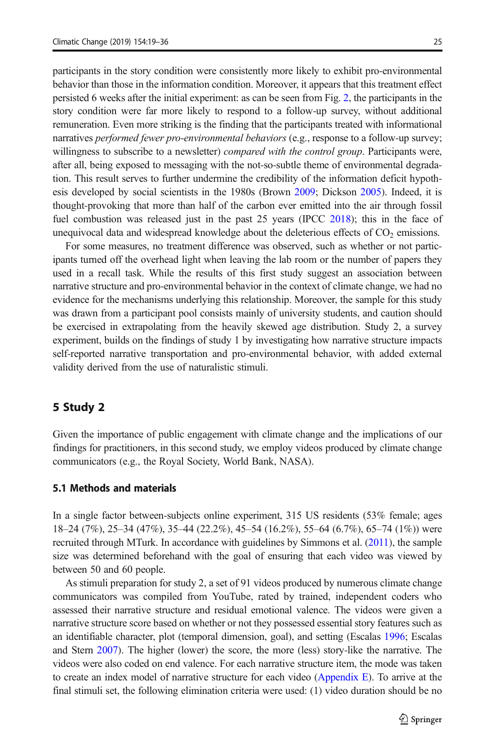participants in the story condition were consistently more likely to exhibit pro-environmental behavior than those in the information condition. Moreover, it appears that this treatment effect persisted 6 weeks after the initial experiment: as can be seen from Fig. [2,](#page-5-0) the participants in the story condition were far more likely to respond to a follow-up survey, without additional remuneration. Even more striking is the finding that the participants treated with informational narratives *performed fewer pro-environmental behaviors* (e.g., response to a follow-up survey; willingness to subscribe to a newsletter) *compared with the control group*. Participants were, after all, being exposed to messaging with the not-so-subtle theme of environmental degradation. This result serves to further undermine the credibility of the information deficit hypothesis developed by social scientists in the 1980s (Brown [2009](#page-14-0); Dickson [2005\)](#page-15-0). Indeed, it is thought-provoking that more than half of the carbon ever emitted into the air through fossil fuel combustion was released just in the past 25 years (IPCC [2018\)](#page-15-0); this in the face of unequivocal data and widespread knowledge about the deleterious effects of  $CO<sub>2</sub>$  emissions.

For some measures, no treatment difference was observed, such as whether or not participants turned off the overhead light when leaving the lab room or the number of papers they used in a recall task. While the results of this first study suggest an association between narrative structure and pro-environmental behavior in the context of climate change, we had no evidence for the mechanisms underlying this relationship. Moreover, the sample for this study was drawn from a participant pool consists mainly of university students, and caution should be exercised in extrapolating from the heavily skewed age distribution. Study 2, a survey experiment, builds on the findings of study 1 by investigating how narrative structure impacts self-reported narrative transportation and pro-environmental behavior, with added external validity derived from the use of naturalistic stimuli.

# 5 Study 2

Given the importance of public engagement with climate change and the implications of our findings for practitioners, in this second study, we employ videos produced by climate change communicators (e.g., the Royal Society, World Bank, NASA).

# 5.1 Methods and materials

In a single factor between-subjects online experiment, 315 US residents (53% female; ages 18–24 (7%), 25–34 (47%), 35–44 (22.2%), 45–54 (16.2%), 55–64 (6.7%), 65–74 (1%)) were recruited through MTurk. In accordance with guidelines by Simmons et al. [\(2011](#page-16-0)), the sample size was determined beforehand with the goal of ensuring that each video was viewed by between 50 and 60 people.

As stimuli preparation for study 2, a set of 91 videos produced by numerous climate change communicators was compiled from YouTube, rated by trained, independent coders who assessed their narrative structure and residual emotional valence. The videos were given a narrative structure score based on whether or not they possessed essential story features such as an identifiable character, plot (temporal dimension, goal), and setting (Escalas [1996;](#page-15-0) Escalas and Stern [2007\)](#page-15-0). The higher (lower) the score, the more (less) story-like the narrative. The videos were also coded on end valence. For each narrative structure item, the mode was taken to create an index model of narrative structure for each video (Appendix E). To arrive at the final stimuli set, the following elimination criteria were used: (1) video duration should be no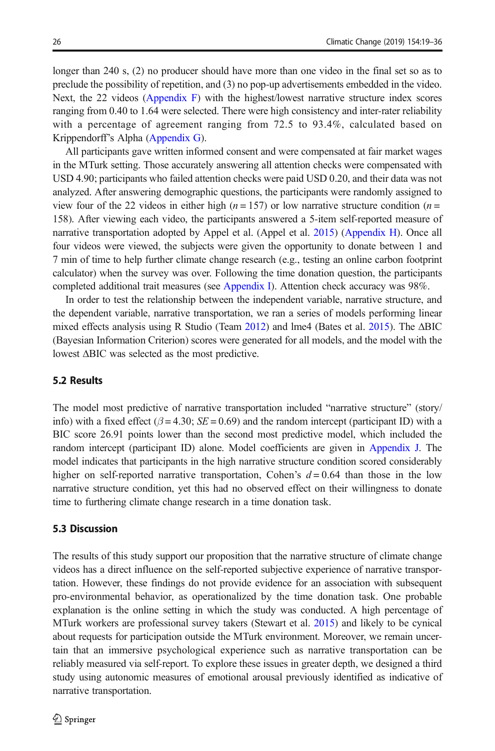longer than 240 s, (2) no producer should have more than one video in the final set so as to preclude the possibility of repetition, and (3) no pop-up advertisements embedded in the video. Next, the 22 videos (Appendix F) with the highest/lowest narrative structure index scores ranging from 0.40 to 1.64 were selected. There were high consistency and inter-rater reliability with a percentage of agreement ranging from 72.5 to 93.4%, calculated based on Krippendorff's Alpha (Appendix G).

All participants gave written informed consent and were compensated at fair market wages in the MTurk setting. Those accurately answering all attention checks were compensated with USD 4.90; participants who failed attention checks were paid USD 0.20, and their data was not analyzed. After answering demographic questions, the participants were randomly assigned to view four of the 22 videos in either high ( $n = 157$ ) or low narrative structure condition ( $n =$ 158). After viewing each video, the participants answered a 5-item self-reported measure of narrative transportation adopted by Appel et al. (Appel et al. [2015](#page-14-0)) (Appendix H). Once all four videos were viewed, the subjects were given the opportunity to donate between 1 and 7 min of time to help further climate change research (e.g., testing an online carbon footprint calculator) when the survey was over. Following the time donation question, the participants completed additional trait measures (see Appendix I). Attention check accuracy was 98%.

In order to test the relationship between the independent variable, narrative structure, and the dependent variable, narrative transportation, we ran a series of models performing linear mixed effects analysis using R Studio (Team [2012](#page-17-0)) and lme4 (Bates et al. [2015\)](#page-14-0). The ΔBIC (Bayesian Information Criterion) scores were generated for all models, and the model with the lowest ΔBIC was selected as the most predictive.

### 5.2 Results

The model most predictive of narrative transportation included "narrative structure" (story/ info) with a fixed effect ( $\beta$  = 4.30; SE = 0.69) and the random intercept (participant ID) with a BIC score 26.91 points lower than the second most predictive model, which included the random intercept (participant ID) alone. Model coefficients are given in Appendix J. The model indicates that participants in the high narrative structure condition scored considerably higher on self-reported narrative transportation, Cohen's  $d = 0.64$  than those in the low narrative structure condition, yet this had no observed effect on their willingness to donate time to furthering climate change research in a time donation task.

#### 5.3 Discussion

The results of this study support our proposition that the narrative structure of climate change videos has a direct influence on the self-reported subjective experience of narrative transportation. However, these findings do not provide evidence for an association with subsequent pro-environmental behavior, as operationalized by the time donation task. One probable explanation is the online setting in which the study was conducted. A high percentage of MTurk workers are professional survey takers (Stewart et al. [2015](#page-17-0)) and likely to be cynical about requests for participation outside the MTurk environment. Moreover, we remain uncertain that an immersive psychological experience such as narrative transportation can be reliably measured via self-report. To explore these issues in greater depth, we designed a third study using autonomic measures of emotional arousal previously identified as indicative of narrative transportation.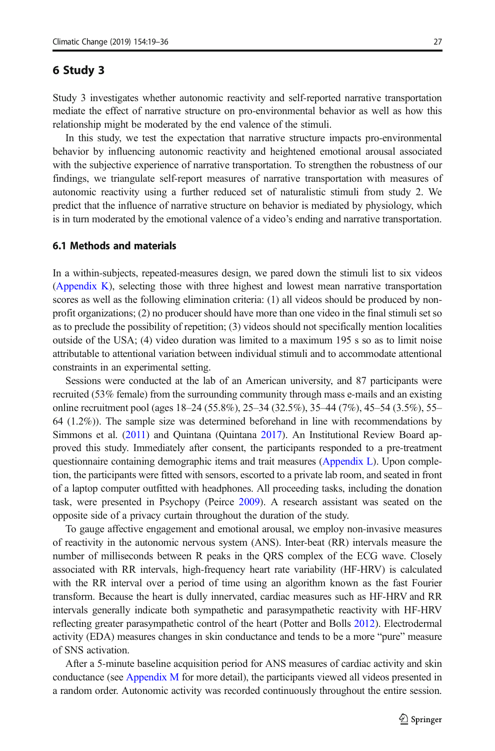#### 6 Study 3

Study 3 investigates whether autonomic reactivity and self-reported narrative transportation mediate the effect of narrative structure on pro-environmental behavior as well as how this relationship might be moderated by the end valence of the stimuli.

In this study, we test the expectation that narrative structure impacts pro-environmental behavior by influencing autonomic reactivity and heightened emotional arousal associated with the subjective experience of narrative transportation. To strengthen the robustness of our findings, we triangulate self-report measures of narrative transportation with measures of autonomic reactivity using a further reduced set of naturalistic stimuli from study 2. We predict that the influence of narrative structure on behavior is mediated by physiology, which is in turn moderated by the emotional valence of a video's ending and narrative transportation.

#### 6.1 Methods and materials

In a within-subjects, repeated-measures design, we pared down the stimuli list to six videos (Appendix K), selecting those with three highest and lowest mean narrative transportation scores as well as the following elimination criteria: (1) all videos should be produced by nonprofit organizations; (2) no producer should have more than one video in the final stimuli set so as to preclude the possibility of repetition; (3) videos should not specifically mention localities outside of the USA; (4) video duration was limited to a maximum 195 s so as to limit noise attributable to attentional variation between individual stimuli and to accommodate attentional constraints in an experimental setting.

Sessions were conducted at the lab of an American university, and 87 participants were recruited (53% female) from the surrounding community through mass e-mails and an existing online recruitment pool (ages 18–24 (55.8%), 25–34 (32.5%), 35–44 (7%), 45–54 (3.5%), 55– 64 (1.2%)). The sample size was determined beforehand in line with recommendations by Simmons et al. ([2011\)](#page-16-0) and Quintana (Quintana [2017](#page-16-0)). An Institutional Review Board approved this study. Immediately after consent, the participants responded to a pre-treatment questionnaire containing demographic items and trait measures (Appendix L). Upon completion, the participants were fitted with sensors, escorted to a private lab room, and seated in front of a laptop computer outfitted with headphones. All proceeding tasks, including the donation task, were presented in Psychopy (Peirce [2009\)](#page-16-0). A research assistant was seated on the opposite side of a privacy curtain throughout the duration of the study.

To gauge affective engagement and emotional arousal, we employ non-invasive measures of reactivity in the autonomic nervous system (ANS). Inter-beat (RR) intervals measure the number of milliseconds between R peaks in the QRS complex of the ECG wave. Closely associated with RR intervals, high-frequency heart rate variability (HF-HRV) is calculated with the RR interval over a period of time using an algorithm known as the fast Fourier transform. Because the heart is dully innervated, cardiac measures such as HF-HRV and RR intervals generally indicate both sympathetic and parasympathetic reactivity with HF-HRV reflecting greater parasympathetic control of the heart (Potter and Bolls [2012\)](#page-16-0). Electrodermal activity (EDA) measures changes in skin conductance and tends to be a more "pure" measure of SNS activation.

After a 5-minute baseline acquisition period for ANS measures of cardiac activity and skin conductance (see Appendix M for more detail), the participants viewed all videos presented in a random order. Autonomic activity was recorded continuously throughout the entire session.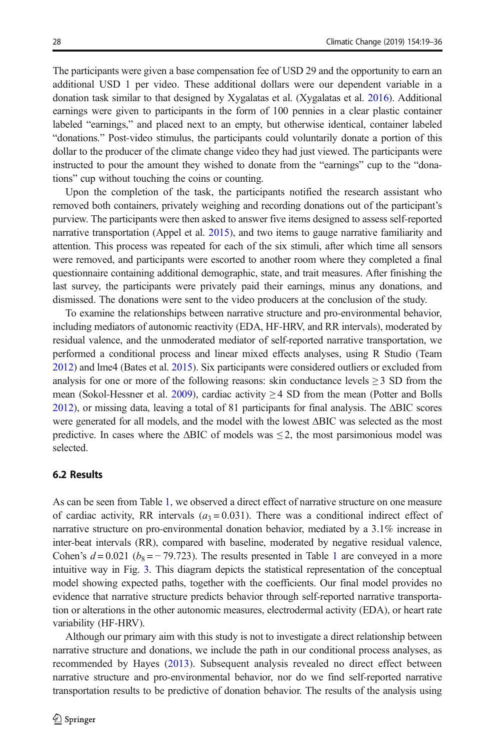The participants were given a base compensation fee of USD 29 and the opportunity to earn an additional USD 1 per video. These additional dollars were our dependent variable in a donation task similar to that designed by Xygalatas et al. (Xygalatas et al. [2016](#page-17-0)). Additional earnings were given to participants in the form of 100 pennies in a clear plastic container labeled "earnings," and placed next to an empty, but otherwise identical, container labeled "donations." Post-video stimulus, the participants could voluntarily donate a portion of this dollar to the producer of the climate change video they had just viewed. The participants were instructed to pour the amount they wished to donate from the "earnings" cup to the "donations" cup without touching the coins or counting.

Upon the completion of the task, the participants notified the research assistant who removed both containers, privately weighing and recording donations out of the participant's purview. The participants were then asked to answer five items designed to assess self-reported narrative transportation (Appel et al. [2015\)](#page-14-0), and two items to gauge narrative familiarity and attention. This process was repeated for each of the six stimuli, after which time all sensors were removed, and participants were escorted to another room where they completed a final questionnaire containing additional demographic, state, and trait measures. After finishing the last survey, the participants were privately paid their earnings, minus any donations, and dismissed. The donations were sent to the video producers at the conclusion of the study.

To examine the relationships between narrative structure and pro-environmental behavior, including mediators of autonomic reactivity (EDA, HF-HRV, and RR intervals), moderated by residual valence, and the unmoderated mediator of self-reported narrative transportation, we performed a conditional process and linear mixed effects analyses, using R Studio (Team [2012](#page-17-0)) and lme4 (Bates et al. [2015](#page-14-0)). Six participants were considered outliers or excluded from analysis for one or more of the following reasons: skin conductance levels  $\geq$  3 SD from the mean (Sokol-Hessner et al. [2009\)](#page-17-0), cardiac activity  $\geq$  4 SD from the mean (Potter and Bolls [2012](#page-16-0)), or missing data, leaving a total of 81 participants for final analysis. The ΔBIC scores were generated for all models, and the model with the lowest ΔBIC was selected as the most predictive. In cases where the  $\triangle BIC$  of models was  $\leq 2$ , the most parsimonious model was selected.

#### 6.2 Results

As can be seen from Table [1](#page-10-0), we observed a direct effect of narrative structure on one measure of cardiac activity, RR intervals  $(a_3 = 0.031)$ . There was a conditional indirect effect of narrative structure on pro-environmental donation behavior, mediated by a 3.1% increase in inter-beat intervals (RR), compared with baseline, moderated by negative residual valence, Cohen's  $d = 0.021$  $d = 0.021$  ( $b_8 = -79.723$ ). The results presented in Table 1 are conveyed in a more intuitive way in Fig. [3](#page-11-0). This diagram depicts the statistical representation of the conceptual model showing expected paths, together with the coefficients. Our final model provides no evidence that narrative structure predicts behavior through self-reported narrative transportation or alterations in the other autonomic measures, electrodermal activity (EDA), or heart rate variability (HF-HRV).

Although our primary aim with this study is not to investigate a direct relationship between narrative structure and donations, we include the path in our conditional process analyses, as recommended by Hayes [\(2013](#page-15-0)). Subsequent analysis revealed no direct effect between narrative structure and pro-environmental behavior, nor do we find self-reported narrative transportation results to be predictive of donation behavior. The results of the analysis using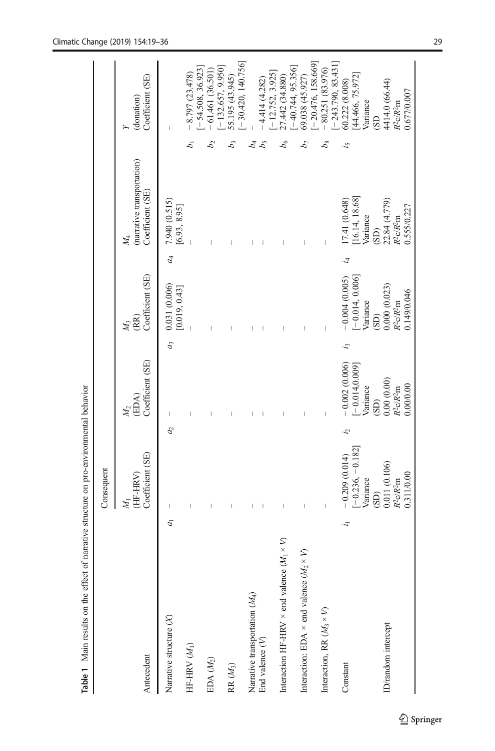<span id="page-10-0"></span>

|                                                            |                | Consequent                                         |                                                |       |                                                    |                |                                                         |    |                                                                   |
|------------------------------------------------------------|----------------|----------------------------------------------------|------------------------------------------------|-------|----------------------------------------------------|----------------|---------------------------------------------------------|----|-------------------------------------------------------------------|
| Antecedent                                                 |                | Coefficient (SE)<br>(HF-HRV)<br>N,                 | Coefficient (SE)<br>(EDA)<br>$\mathcal{M}_2$   |       | Coefficient (SE)<br>(RR)<br>$M_3$                  |                | (narrative transportation)<br>Coefficient (SE)<br>$M_4$ |    | Coefficient (SE)<br>(donation)                                    |
| Narrative structure (X)                                    | $\overline{a}$ | a <sub>2</sub><br>$\begin{array}{c} \end{array}$   | I                                              | $a_3$ | 0.031 (0.006)<br>[0.019, 0.43]                     | a <sub>4</sub> | 7.940 (0.515)<br>[6.93, 8.95]                           |    | $\overline{\phantom{a}}$                                          |
| HF-HRV $(M_{\rm 1})$                                       |                | I                                                  |                                                |       |                                                    |                |                                                         |    | $-8.797(23.478)$                                                  |
| EDA $(M_2)$                                                |                |                                                    |                                                |       |                                                    |                |                                                         |    | $-54.508, 36.923$<br>$-61.461(36.501)$                            |
| $\mathbb{R}$ $(M_3)$                                       |                |                                                    |                                                |       |                                                    |                |                                                         | b3 | $[-30.420, 140.756]$<br>$[-132.657, 9.950]$<br>55.195 (43.945)    |
| Narrative transportation (M <sub>4</sub> )                 |                |                                                    |                                                |       |                                                    |                |                                                         | 24 |                                                                   |
| End valence $(\mathcal{V})$                                |                |                                                    |                                                |       |                                                    |                |                                                         |    | $-4.414(4.282)$                                                   |
| Interaction HF-HRV $\times$ end valence ( $M_1 \times V$ ) |                |                                                    |                                                |       |                                                    |                |                                                         |    | $[-12.752, 3.925]$<br>27.442 (34.880)                             |
| Interaction: EDA $\times$ end valence ( $M_2 \times V$ )   |                | $\overline{\phantom{a}}$                           |                                                |       | $\overline{1}$                                     |                |                                                         |    | $[-40.744, 95.356]$<br>69.038 (45.927)                            |
| Interaction, RR $(M_3 \times V)$                           |                | $\mid$                                             | $\begin{array}{c} \hline \end{array}$          |       | $\begin{array}{c} \end{array}$                     |                | $\overline{\phantom{a}}$                                |    | $[-20.476, 158.669]$<br>$[-243.790, 83.431]$<br>$-80.251(83.976)$ |
| i,<br>Constant                                             |                | ġ.<br>$-0.209(0.014)$                              | $-0.002(0.006)$                                | i,    | $-0.004(0.005)$                                    | ż,             | 17.41 (0.648)                                           | 57 | 60.222 (8.008)                                                    |
|                                                            |                | $[-0.236, -0.182]$<br>Variance                     | $-0.014, 0.009$<br>Variance                    |       | $[-0.014, 0.006]$<br>Variance                      |                | 16.14, 18.68]<br>Variance                               |    | [44.466, 75.972]<br>Variance                                      |
| ID/random intercept                                        |                | 0.011 (0.106)<br>0.311/0.00<br>$R^2c/R^2m$<br>(SD) | 0.00(0.00)<br>0.00/0.00<br>$R^2c/R^2m$<br>(SD) |       | 0.000(0.023)<br>0.149/0.046<br>$R^2c/R^2m$<br>(SD) |                | $22.84$ (4.779)<br>$R^2cR^2m$<br>0.555/0.227<br>(SD)    |    | 4414.0 (66.44)<br>0.677/0.007<br>$R^2c/R^2m$<br>G <sub>S</sub>    |

Table 1 Main results on the effect of narrative structure on pro-environmental behavior

Table 1 Main results on the effect of narrative structure on pro-environmental behavior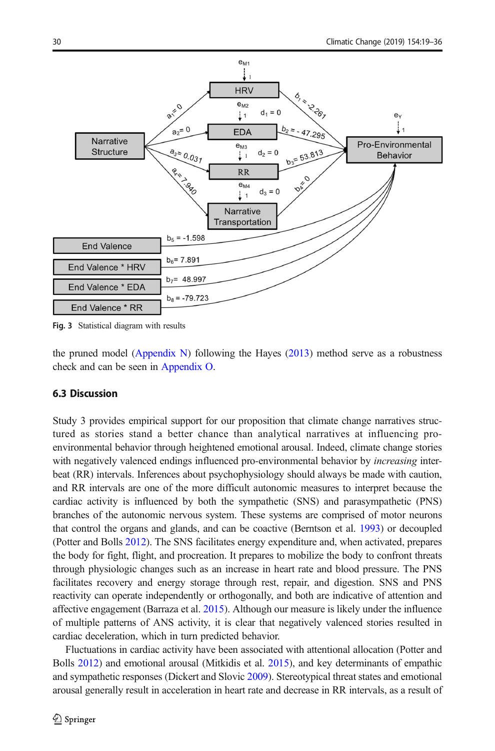<span id="page-11-0"></span>

Fig. 3 Statistical diagram with results

the pruned model (Appendix N) following the Hayes  $(2013)$  method serve as a robustness check and can be seen in Appendix O.

# 6.3 Discussion

Study 3 provides empirical support for our proposition that climate change narratives structured as stories stand a better chance than analytical narratives at influencing proenvironmental behavior through heightened emotional arousal. Indeed, climate change stories with negatively valenced endings influenced pro-environmental behavior by *increasing* interbeat (RR) intervals. Inferences about psychophysiology should always be made with caution, and RR intervals are one of the more difficult autonomic measures to interpret because the cardiac activity is influenced by both the sympathetic (SNS) and parasympathetic (PNS) branches of the autonomic nervous system. These systems are comprised of motor neurons that control the organs and glands, and can be coactive (Berntson et al. [1993\)](#page-14-0) or decoupled (Potter and Bolls [2012\)](#page-16-0). The SNS facilitates energy expenditure and, when activated, prepares the body for fight, flight, and procreation. It prepares to mobilize the body to confront threats through physiologic changes such as an increase in heart rate and blood pressure. The PNS facilitates recovery and energy storage through rest, repair, and digestion. SNS and PNS reactivity can operate independently or orthogonally, and both are indicative of attention and affective engagement (Barraza et al. [2015](#page-14-0)). Although our measure is likely under the influence of multiple patterns of ANS activity, it is clear that negatively valenced stories resulted in cardiac deceleration, which in turn predicted behavior.

Fluctuations in cardiac activity have been associated with attentional allocation (Potter and Bolls [2012\)](#page-16-0) and emotional arousal (Mitkidis et al. [2015\)](#page-16-0), and key determinants of empathic and sympathetic responses (Dickert and Slovic [2009](#page-15-0)). Stereotypical threat states and emotional arousal generally result in acceleration in heart rate and decrease in RR intervals, as a result of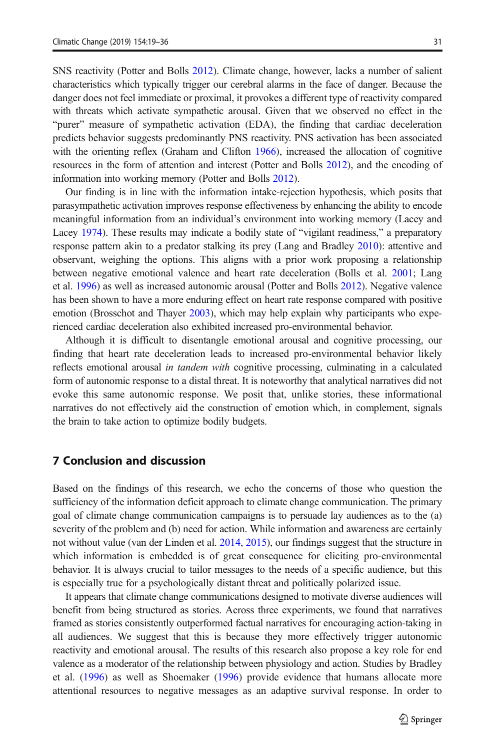SNS reactivity (Potter and Bolls [2012](#page-16-0)). Climate change, however, lacks a number of salient characteristics which typically trigger our cerebral alarms in the face of danger. Because the danger does not feel immediate or proximal, it provokes a different type of reactivity compared with threats which activate sympathetic arousal. Given that we observed no effect in the "purer" measure of sympathetic activation (EDA), the finding that cardiac deceleration predicts behavior suggests predominantly PNS reactivity. PNS activation has been associated with the orienting reflex (Graham and Clifton [1966](#page-15-0)), increased the allocation of cognitive resources in the form of attention and interest (Potter and Bolls [2012](#page-16-0)), and the encoding of information into working memory (Potter and Bolls [2012\)](#page-16-0).

Our finding is in line with the information intake-rejection hypothesis, which posits that parasympathetic activation improves response effectiveness by enhancing the ability to encode meaningful information from an individual's environment into working memory (Lacey and Lacey [1974\)](#page-16-0). These results may indicate a bodily state of "vigilant readiness," a preparatory response pattern akin to a predator stalking its prey (Lang and Bradley [2010](#page-16-0)): attentive and observant, weighing the options. This aligns with a prior work proposing a relationship between negative emotional valence and heart rate deceleration (Bolls et al. [2001;](#page-14-0) Lang et al. [1996\)](#page-16-0) as well as increased autonomic arousal (Potter and Bolls [2012](#page-16-0)). Negative valence has been shown to have a more enduring effect on heart rate response compared with positive emotion (Brosschot and Thayer [2003\)](#page-14-0), which may help explain why participants who experienced cardiac deceleration also exhibited increased pro-environmental behavior.

Although it is difficult to disentangle emotional arousal and cognitive processing, our finding that heart rate deceleration leads to increased pro-environmental behavior likely reflects emotional arousal in tandem with cognitive processing, culminating in a calculated form of autonomic response to a distal threat. It is noteworthy that analytical narratives did not evoke this same autonomic response. We posit that, unlike stories, these informational narratives do not effectively aid the construction of emotion which, in complement, signals the brain to take action to optimize bodily budgets.

#### 7 Conclusion and discussion

Based on the findings of this research, we echo the concerns of those who question the sufficiency of the information deficit approach to climate change communication. The primary goal of climate change communication campaigns is to persuade lay audiences as to the (a) severity of the problem and (b) need for action. While information and awareness are certainly not without value (van der Linden et al. [2014,](#page-15-0) [2015\)](#page-15-0), our findings suggest that the structure in which information is embedded is of great consequence for eliciting pro-environmental behavior. It is always crucial to tailor messages to the needs of a specific audience, but this is especially true for a psychologically distant threat and politically polarized issue.

It appears that climate change communications designed to motivate diverse audiences will benefit from being structured as stories. Across three experiments, we found that narratives framed as stories consistently outperformed factual narratives for encouraging action-taking in all audiences. We suggest that this is because they more effectively trigger autonomic reactivity and emotional arousal. The results of this research also propose a key role for end valence as a moderator of the relationship between physiology and action. Studies by Bradley et al. ([1996\)](#page-14-0) as well as Shoemaker [\(1996\)](#page-16-0) provide evidence that humans allocate more attentional resources to negative messages as an adaptive survival response. In order to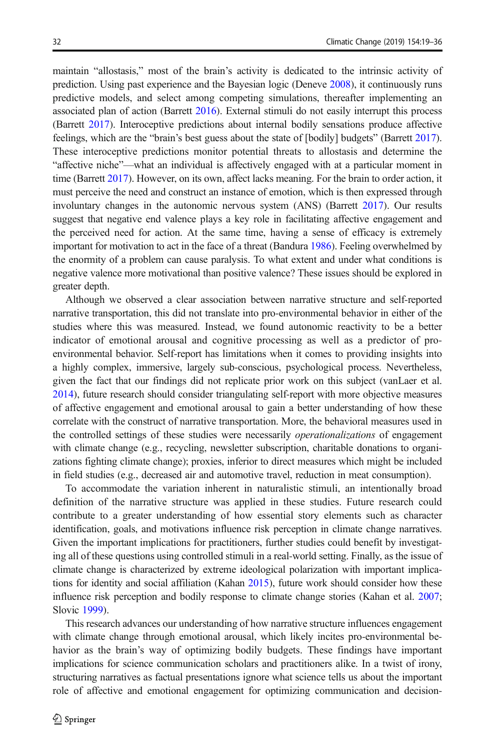maintain "allostasis," most of the brain's activity is dedicated to the intrinsic activity of prediction. Using past experience and the Bayesian logic (Deneve [2008](#page-15-0)), it continuously runs predictive models, and select among competing simulations, thereafter implementing an associated plan of action (Barrett [2016](#page-14-0)). External stimuli do not easily interrupt this process (Barrett [2017](#page-14-0)). Interoceptive predictions about internal bodily sensations produce affective feelings, which are the "brain's best guess about the state of [bodily] budgets" (Barrett [2017](#page-14-0)). These interoceptive predictions monitor potential threats to allostasis and determine the "affective niche"—what an individual is affectively engaged with at a particular moment in time (Barrett [2017\)](#page-14-0). However, on its own, affect lacks meaning. For the brain to order action, it must perceive the need and construct an instance of emotion, which is then expressed through involuntary changes in the autonomic nervous system (ANS) (Barrett [2017\)](#page-14-0). Our results suggest that negative end valence plays a key role in facilitating affective engagement and the perceived need for action. At the same time, having a sense of efficacy is extremely important for motivation to act in the face of a threat (Bandura [1986](#page-14-0)). Feeling overwhelmed by the enormity of a problem can cause paralysis. To what extent and under what conditions is negative valence more motivational than positive valence? These issues should be explored in greater depth.

Although we observed a clear association between narrative structure and self-reported narrative transportation, this did not translate into pro-environmental behavior in either of the studies where this was measured. Instead, we found autonomic reactivity to be a better indicator of emotional arousal and cognitive processing as well as a predictor of proenvironmental behavior. Self-report has limitations when it comes to providing insights into a highly complex, immersive, largely sub-conscious, psychological process. Nevertheless, given the fact that our findings did not replicate prior work on this subject (vanLaer et al. [2014](#page-16-0)), future research should consider triangulating self-report with more objective measures of affective engagement and emotional arousal to gain a better understanding of how these correlate with the construct of narrative transportation. More, the behavioral measures used in the controlled settings of these studies were necessarily operationalizations of engagement with climate change (e.g., recycling, newsletter subscription, charitable donations to organizations fighting climate change); proxies, inferior to direct measures which might be included in field studies (e.g., decreased air and automotive travel, reduction in meat consumption).

To accommodate the variation inherent in naturalistic stimuli, an intentionally broad definition of the narrative structure was applied in these studies. Future research could contribute to a greater understanding of how essential story elements such as character identification, goals, and motivations influence risk perception in climate change narratives. Given the important implications for practitioners, further studies could benefit by investigating all of these questions using controlled stimuli in a real-world setting. Finally, as the issue of climate change is characterized by extreme ideological polarization with important implications for identity and social affiliation (Kahan [2015\)](#page-15-0), future work should consider how these influence risk perception and bodily response to climate change stories (Kahan et al. [2007](#page-15-0); Slovic [1999\)](#page-17-0).

This research advances our understanding of how narrative structure influences engagement with climate change through emotional arousal, which likely incites pro-environmental behavior as the brain's way of optimizing bodily budgets. These findings have important implications for science communication scholars and practitioners alike. In a twist of irony, structuring narratives as factual presentations ignore what science tells us about the important role of affective and emotional engagement for optimizing communication and decision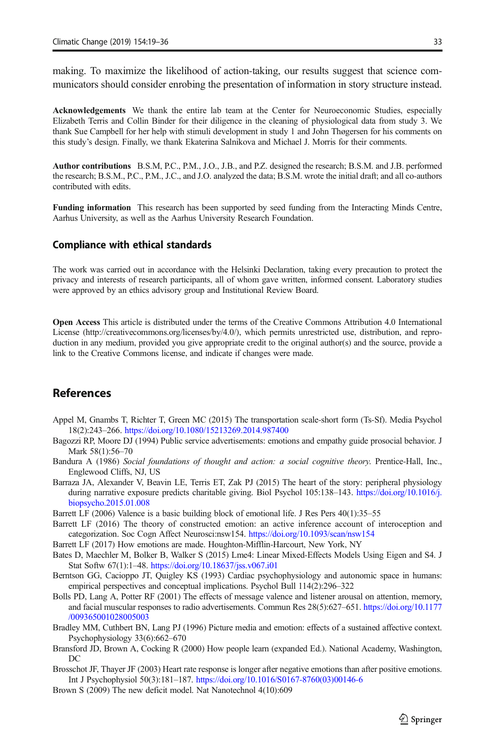<span id="page-14-0"></span>making. To maximize the likelihood of action-taking, our results suggest that science communicators should consider enrobing the presentation of information in story structure instead.

Acknowledgements We thank the entire lab team at the Center for Neuroeconomic Studies, especially Elizabeth Terris and Collin Binder for their diligence in the cleaning of physiological data from study 3. We thank Sue Campbell for her help with stimuli development in study 1 and John Thøgersen for his comments on this study's design. Finally, we thank Ekaterina Salnikova and Michael J. Morris for their comments.

Author contributions B.S.M, P.C., P.M., J.O., J.B., and P.Z. designed the research; B.S.M. and J.B. performed the research; B.S.M., P.C., P.M., J.C., and J.O. analyzed the data; B.S.M. wrote the initial draft; and all co-authors contributed with edits.

Funding information This research has been supported by seed funding from the Interacting Minds Centre, Aarhus University, as well as the Aarhus University Research Foundation.

#### Compliance with ethical standards

The work was carried out in accordance with the Helsinki Declaration, taking every precaution to protect the privacy and interests of research participants, all of whom gave written, informed consent. Laboratory studies were approved by an ethics advisory group and Institutional Review Board.

Open Access This article is distributed under the terms of the Creative Commons Attribution 4.0 International License (http://creativecommons.org/licenses/by/4.0/), which permits unrestricted use, distribution, and reproduction in any medium, provided you give appropriate credit to the original author(s) and the source, provide a link to the Creative Commons license, and indicate if changes were made.

#### References

- Appel M, Gnambs T, Richter T, Green MC (2015) The transportation scale-short form (Ts-Sf). Media Psychol 18(2):243–266. <https://doi.org/10.1080/15213269.2014.987400>
- Bagozzi RP, Moore DJ (1994) Public service advertisements: emotions and empathy guide prosocial behavior. J Mark 58(1):56–70
- Bandura A (1986) Social foundations of thought and action: a social cognitive theory. Prentice-Hall, Inc., Englewood Cliffs, NJ, US
- Barraza JA, Alexander V, Beavin LE, Terris ET, Zak PJ (2015) The heart of the story: peripheral physiology during narrative exposure predicts charitable giving. Biol Psychol 105:138–143. [https://doi.org/10.1016/j.](https://doi.org/10.1016/j.biopsycho.2015.01.008) [biopsycho.2015.01.008](https://doi.org/10.1016/j.biopsycho.2015.01.008)
- Barrett LF (2006) Valence is a basic building block of emotional life. J Res Pers 40(1):35–55
- Barrett LF (2016) The theory of constructed emotion: an active inference account of interoception and categorization. Soc Cogn Affect Neurosci:nsw154. <https://doi.org/10.1093/scan/nsw154>
- Barrett LF (2017) How emotions are made. Houghton-Mifflin-Harcourt, New York, NY
- Bates D, Maechler M, Bolker B, Walker S (2015) Lme4: Linear Mixed-Effects Models Using Eigen and S4. J Stat Softw 67(1):1–48. <https://doi.org/10.18637/jss.v067.i01>
- Berntson GG, Cacioppo JT, Quigley KS (1993) Cardiac psychophysiology and autonomic space in humans: empirical perspectives and conceptual implications. Psychol Bull 114(2):296–322
- Bolls PD, Lang A, Potter RF (2001) The effects of message valence and listener arousal on attention, memory, and facial muscular responses to radio advertisements. Commun Res 28(5):627–651. [https://doi.org/10.1177](https://doi.org/10.1177/009365001028005003) [/009365001028005003](https://doi.org/10.1177/009365001028005003)
- Bradley MM, Cuthbert BN, Lang PJ (1996) Picture media and emotion: effects of a sustained affective context. Psychophysiology 33(6):662–670
- Bransford JD, Brown A, Cocking R (2000) How people learn (expanded Ed.). National Academy, Washington,  $DC$
- Brosschot JF, Thayer JF (2003) Heart rate response is longer after negative emotions than after positive emotions. Int J Psychophysiol 50(3):181–187. [https://doi.org/10.1016/S0167-8760\(03\)00146-6](https://doi.org/10.1016/S0167-8760(03)00146-6)
- Brown S (2009) The new deficit model. Nat Nanotechnol 4(10):609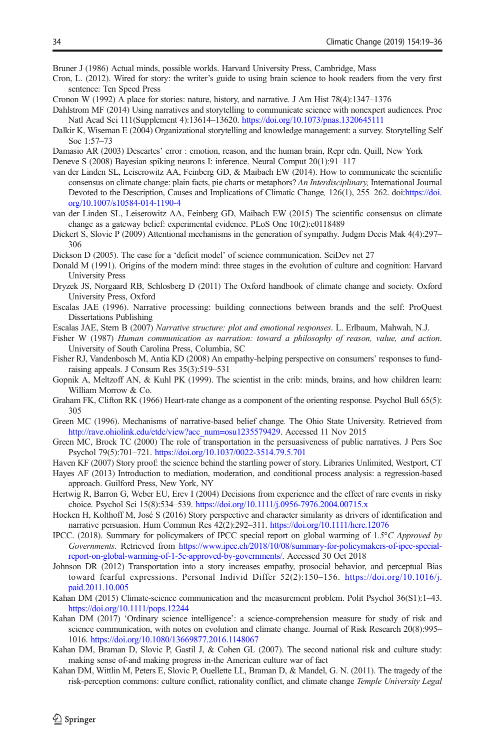<span id="page-15-0"></span>Bruner J (1986) Actual minds, possible worlds. Harvard University Press, Cambridge, Mass

- Cron, L. (2012). Wired for story: the writer's guide to using brain science to hook readers from the very first sentence: Ten Speed Press
- Cronon W (1992) A place for stories: nature, history, and narrative. J Am Hist 78(4):1347–1376
- Dahlstrom MF (2014) Using narratives and storytelling to communicate science with nonexpert audiences. Proc Natl Acad Sci 111(Supplement 4):13614–13620. <https://doi.org/10.1073/pnas.1320645111>
- Dalkir K, Wiseman E (2004) Organizational storytelling and knowledge management: a survey. Storytelling Self Soc 1:57–73
- Damasio AR (2003) Descartes' error : emotion, reason, and the human brain, Repr edn. Quill, New York
- Deneve S (2008) Bayesian spiking neurons I: inference. Neural Comput 20(1):91–117
- van der Linden SL, Leiserowitz AA, Feinberg GD, & Maibach EW (2014). How to communicate the scientific consensus on climate change: plain facts, pie charts or metaphors? An Interdisciplinary, International Journal Devoted to the Description, Causes and Implications of Climatic Change, 126(1), 255–262. doi:[https://doi.](https://doi.org/10.1007/s10584-014-1190-4) [org/10.1007/s10584-014-1190-4](https://doi.org/10.1007/s10584-014-1190-4)
- van der Linden SL, Leiserowitz AA, Feinberg GD, Maibach EW (2015) The scientific consensus on climate change as a gateway belief: experimental evidence. PLoS One 10(2):e0118489
- Dickert S, Slovic P (2009) Attentional mechanisms in the generation of sympathy. Judgm Decis Mak 4(4):297– 306
- Dickson D (2005). The case for a 'deficit model' of science communication. SciDev net 27
- Donald M (1991). Origins of the modern mind: three stages in the evolution of culture and cognition: Harvard University Press
- Dryzek JS, Norgaard RB, Schlosberg D (2011) The Oxford handbook of climate change and society. Oxford University Press, Oxford
- Escalas JAE (1996). Narrative processing: building connections between brands and the self: ProQuest Dissertations Publishing
- Escalas JAE, Stern B (2007) Narrative structure: plot and emotional responses. L. Erlbaum, Mahwah, N.J.
- Fisher W (1987) Human communication as narration: toward a philosophy of reason, value, and action. University of South Carolina Press, Columbia, SC
- Fisher RJ, Vandenbosch M, Antia KD (2008) An empathy-helping perspective on consumers' responses to fundraising appeals. J Consum Res 35(3):519–531
- Gopnik A, Meltzoff AN, & Kuhl PK (1999). The scientist in the crib: minds, brains, and how children learn: William Morrow & Co.
- Graham FK, Clifton RK (1966) Heart-rate change as a component of the orienting response. Psychol Bull 65(5): 305
- Green MC (1996). Mechanisms of narrative-based belief change. The Ohio State University. Retrieved from [http://rave.ohiolink.edu/etdc/view?acc\\_num=osu1235579429.](http://rave.ohiolink.edu/etdc/view?acc_num=osu1235579429) Accessed 11 Nov 2015
- Green MC, Brock TC (2000) The role of transportation in the persuasiveness of public narratives. J Pers Soc Psychol 79(5):701–721. <https://doi.org/10.1037/0022-3514.79.5.701>
- Haven KF (2007) Story proof: the science behind the startling power of story. Libraries Unlimited, Westport, CT
- Hayes AF (2013) Introduction to mediation, moderation, and conditional process analysis: a regression-based approach. Guilford Press, New York, NY
- Hertwig R, Barron G, Weber EU, Erev I (2004) Decisions from experience and the effect of rare events in risky choice. Psychol Sci 15(8):534–539. <https://doi.org/10.1111/j.0956-7976.2004.00715.x>
- Hoeken H, Kolthoff M, José S (2016) Story perspective and character similarity as drivers of identification and narrative persuasion. Hum Commun Res 42(2):292–311. <https://doi.org/10.1111/hcre.12076>
- IPCC. (2018). Summary for policymakers of IPCC special report on global warming of 1.5°C Approved by Governments. Retrieved from [https://www.ipcc.ch/2018/10/08/summary-for-policymakers-of-ipcc-special](https://www.ipcc.ch/2018/10/08/summary-for-policymakers-of-ipcc-special-report-on-global-warming-of-1-5c-approved-by-governments/)[report-on-global-warming-of-1-5c-approved-by-governments/.](https://www.ipcc.ch/2018/10/08/summary-for-policymakers-of-ipcc-special-report-on-global-warming-of-1-5c-approved-by-governments/) Accessed 30 Oct 2018
- Johnson DR (2012) Transportation into a story increases empathy, prosocial behavior, and perceptual Bias toward fearful expressions. Personal Individ Differ 52(2):150–156. [https://doi.org/10.1016/j.](https://doi.org/10.1016/j.paid.2011.10.005) [paid.2011.10.005](https://doi.org/10.1016/j.paid.2011.10.005)
- Kahan DM (2015) Climate-science communication and the measurement problem. Polit Psychol 36(S1):1–43. <https://doi.org/10.1111/pops.12244>
- Kahan DM (2017) 'Ordinary science intelligence': a science-comprehension measure for study of risk and science communication, with notes on evolution and climate change. Journal of Risk Research 20(8):995– 1016. <https://doi.org/10.1080/13669877.2016.1148067>
- Kahan DM, Braman D, Slovic P, Gastil J, & Cohen GL (2007). The second national risk and culture study: making sense of-and making progress in-the American culture war of fact
- Kahan DM, Wittlin M, Peters E, Slovic P, Ouellette LL, Braman D, & Mandel, G. N. (2011). The tragedy of the risk-perception commons: culture conflict, rationality conflict, and climate change Temple University Legal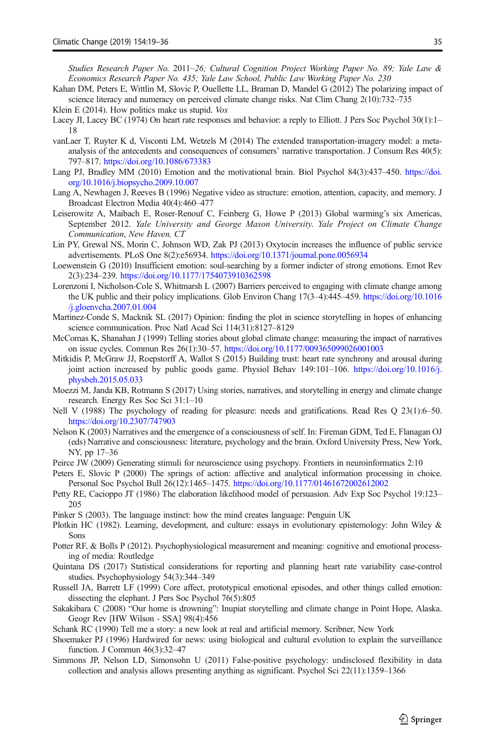<span id="page-16-0"></span>Studies Research Paper No. 2011–26; Cultural Cognition Project Working Paper No. 89; Yale Law & Economics Research Paper No. 435; Yale Law School, Public Law Working Paper No. 230

- Kahan DM, Peters E, Wittlin M, Slovic P, Ouellette LL, Braman D, Mandel G (2012) The polarizing impact of science literacy and numeracy on perceived climate change risks. Nat Clim Chang 2(10):732–735
- Klein E (2014). How politics make us stupid. Vox
- Lacey JI, Lacey BC (1974) On heart rate responses and behavior: a reply to Elliott. J Pers Soc Psychol 30(1):1– 18
- vanLaer T, Ruyter K d, Visconti LM, Wetzels M (2014) The extended transportation-imagery model: a metaanalysis of the antecedents and consequences of consumers' narrative transportation. J Consum Res 40(5): 797–817. <https://doi.org/10.1086/673383>
- Lang PJ, Bradley MM (2010) Emotion and the motivational brain. Biol Psychol 84(3):437–450. [https://doi.](https://doi.org/10.1016/j.biopsycho.2009.10.007) [org/10.1016/j.biopsycho.2009.10.007](https://doi.org/10.1016/j.biopsycho.2009.10.007)
- Lang A, Newhagen J, Reeves B (1996) Negative video as structure: emotion, attention, capacity, and memory. J Broadcast Electron Media 40(4):460–477
- Leiserowitz A, Maibach E, Roser-Renouf C, Feinberg G, Howe P (2013) Global warming's six Americas, September 2012. Yale University and George Mason University. Yale Project on Climate Change Communication, New Haven, CT
- Lin PY, Grewal NS, Morin C, Johnson WD, Zak PJ (2013) Oxytocin increases the influence of public service advertisements. PLoS One 8(2):e56934. <https://doi.org/10.1371/journal.pone.0056934>
- Loewenstein G (2010) Insufficient emotion: soul-searching by a former indicter of strong emotions. Emot Rev 2(3):234–239. <https://doi.org/10.1177/1754073910362598>
- Lorenzoni I, Nicholson-Cole S, Whitmarsh L (2007) Barriers perceived to engaging with climate change among the UK public and their policy implications. Glob Environ Chang 17(3–4):445–459. [https://doi.org/10.1016](https://doi.org/10.1016/j.gloenvcha.2007.01.004) [/j.gloenvcha.2007.01.004](https://doi.org/10.1016/j.gloenvcha.2007.01.004)
- Martinez-Conde S, Macknik SL (2017) Opinion: finding the plot in science storytelling in hopes of enhancing science communication. Proc Natl Acad Sci 114(31):8127–8129
- McComas K, Shanahan J (1999) Telling stories about global climate change: measuring the impact of narratives on issue cycles. Commun Res 26(1):30–57. <https://doi.org/10.1177/009365099026001003>
- Mitkidis P, McGraw JJ, Roepstorff A, Wallot S (2015) Building trust: heart rate synchrony and arousal during joint action increased by public goods game. Physiol Behav 149:101–106. [https://doi.org/10.1016/j.](https://doi.org/10.1016/j.physbeh.2015.05.033) [physbeh.2015.05.033](https://doi.org/10.1016/j.physbeh.2015.05.033)
- Moezzi M, Janda KB, Rotmann S (2017) Using stories, narratives, and storytelling in energy and climate change research. Energy Res Soc Sci 31:1–10
- Nell V (1988) The psychology of reading for pleasure: needs and gratifications. Read Res Q 23(1):6–50. <https://doi.org/10.2307/747903>
- Nelson K (2003) Narratives and the emergence of a consciousness of self. In: Fireman GDM, Ted E, Flanagan OJ (eds) Narrative and consciousness: literature, psychology and the brain. Oxford University Press, New York, NY, pp 17–36
- Peirce JW (2009) Generating stimuli for neuroscience using psychopy. Frontiers in neuroinformatics 2:10
- Peters E, Slovic P (2000) The springs of action: affective and analytical information processing in choice. Personal Soc Psychol Bull 26(12):1465–1475. <https://doi.org/10.1177/01461672002612002>
- Petty RE, Cacioppo JT (1986) The elaboration likelihood model of persuasion. Adv Exp Soc Psychol 19:123– 205
- Pinker S (2003). The language instinct: how the mind creates language: Penguin UK
- Plotkin HC (1982). Learning, development, and culture: essays in evolutionary epistemology: John Wiley & Sons
- Potter RF, & Bolls P (2012). Psychophysiological measurement and meaning: cognitive and emotional processing of media: Routledge
- Quintana DS (2017) Statistical considerations for reporting and planning heart rate variability case-control studies. Psychophysiology 54(3):344–349
- Russell JA, Barrett LF (1999) Core affect, prototypical emotional episodes, and other things called emotion: dissecting the elephant. J Pers Soc Psychol 76(5):805
- Sakakibara C (2008) "Our home is drowning": Inupiat storytelling and climate change in Point Hope, Alaska. Geogr Rev [HW Wilson - SSA] 98(4):456
- Schank RC (1990) Tell me a story: a new look at real and artificial memory. Scribner, New York
- Shoemaker PJ (1996) Hardwired for news: using biological and cultural evolution to explain the surveillance function. J Commun 46(3):32–47
- Simmons JP, Nelson LD, Simonsohn U (2011) False-positive psychology: undisclosed flexibility in data collection and analysis allows presenting anything as significant. Psychol Sci 22(11):1359–1366